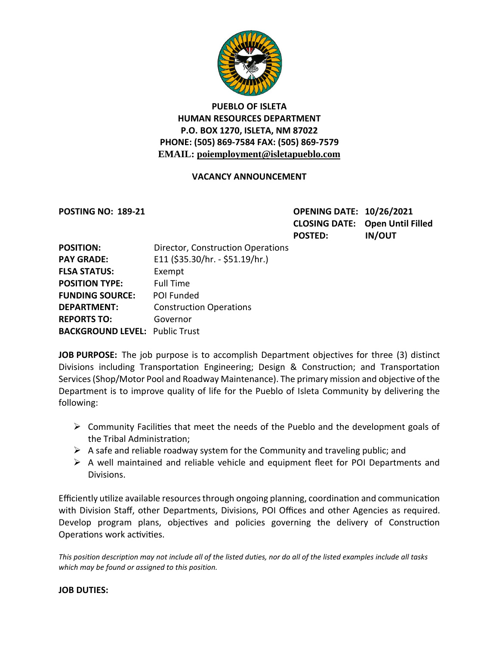

# **PUEBLO OF ISLETA HUMAN RESOURCES DEPARTMENT P.O. BOX 1270, ISLETA, NM 87022 PHONE: (505) 869-7584 FAX: (505) 869-7579 EMAIL: poiemployment@isletapueblo.com**

## **VACANCY ANNOUNCEMENT**

**POSTING NO: 189-21 OPENING DATE: 10/26/2021 CLOSING DATE: Open Until Filled POSTED: IN/OUT**

| <b>POSITION:</b>                      | Director, Construction Operations |
|---------------------------------------|-----------------------------------|
| <b>PAY GRADE:</b>                     | E11 (\$35.30/hr. - \$51.19/hr.)   |
| <b>FLSA STATUS:</b>                   | Exempt                            |
| <b>POSITION TYPE:</b>                 | <b>Full Time</b>                  |
| <b>FUNDING SOURCE:</b>                | <b>POI Funded</b>                 |
| <b>DEPARTMENT:</b>                    | <b>Construction Operations</b>    |
| <b>REPORTS TO:</b>                    | Governor                          |
| <b>BACKGROUND LEVEL: Public Trust</b> |                                   |

**JOB PURPOSE:** The job purpose is to accomplish Department objectives for three (3) distinct Divisions including Transportation Engineering; Design & Construction; and Transportation Services (Shop/Motor Pool and Roadway Maintenance). The primary mission and objective of the Department is to improve quality of life for the Pueblo of Isleta Community by delivering the following:

- $\triangleright$  Community Facilities that meet the needs of the Pueblo and the development goals of the Tribal Administration;
- $\triangleright$  A safe and reliable roadway system for the Community and traveling public; and
- $\triangleright$  A well maintained and reliable vehicle and equipment fleet for POI Departments and Divisions.

Efficiently utilize available resources through ongoing planning, coordination and communication with Division Staff, other Departments, Divisions, POI Offices and other Agencies as required. Develop program plans, objectives and policies governing the delivery of Construction Operations work activities.

*This position description may not include all of the listed duties, nor do all of the listed examples include all tasks which may be found or assigned to this position.*

#### **JOB DUTIES:**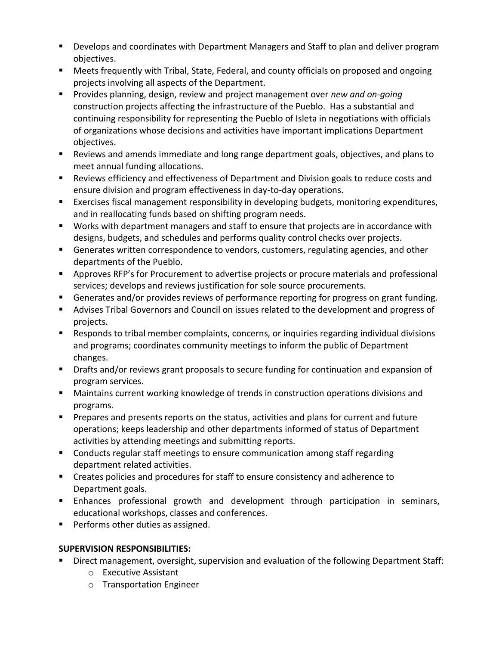- **Develops and coordinates with Department Managers and Staff to plan and deliver program** objectives.
- Meets frequently with Tribal, State, Federal, and county officials on proposed and ongoing projects involving all aspects of the Department.
- **Provides planning, design, review and project management over** *new and on-going* construction projects affecting the infrastructure of the Pueblo. Has a substantial and continuing responsibility for representing the Pueblo of Isleta in negotiations with officials of organizations whose decisions and activities have important implications Department objectives.
- Reviews and amends immediate and long range department goals, objectives, and plans to meet annual funding allocations.
- Reviews efficiency and effectiveness of Department and Division goals to reduce costs and ensure division and program effectiveness in day-to-day operations.
- Exercises fiscal management responsibility in developing budgets, monitoring expenditures, and in reallocating funds based on shifting program needs.
- Works with department managers and staff to ensure that projects are in accordance with designs, budgets, and schedules and performs quality control checks over projects.
- Generates written correspondence to vendors, customers, regulating agencies, and other departments of the Pueblo.
- Approves RFP's for Procurement to advertise projects or procure materials and professional services; develops and reviews justification for sole source procurements.
- Generates and/or provides reviews of performance reporting for progress on grant funding.
- Advises Tribal Governors and Council on issues related to the development and progress of projects.
- Responds to tribal member complaints, concerns, or inquiries regarding individual divisions and programs; coordinates community meetings to inform the public of Department changes.
- Drafts and/or reviews grant proposals to secure funding for continuation and expansion of program services.
- **Maintains current working knowledge of trends in construction operations divisions and** programs.
- **Prepares and presents reports on the status, activities and plans for current and future** operations; keeps leadership and other departments informed of status of Department activities by attending meetings and submitting reports.
- **EXP** Conducts regular staff meetings to ensure communication among staff regarding department related activities.
- Creates policies and procedures for staff to ensure consistency and adherence to Department goals.
- Enhances professional growth and development through participation in seminars, educational workshops, classes and conferences.
- **Performs other duties as assigned.**

# **SUPERVISION RESPONSIBILITIES:**

- **Direct management, oversight, supervision and evaluation of the following Department Staff:** 
	- o Executive Assistant
	- o Transportation Engineer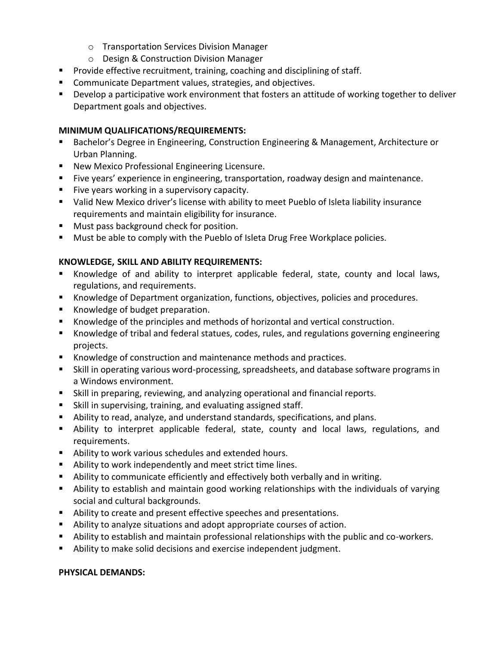- o Transportation Services Division Manager
- o Design & Construction Division Manager
- **Provide effective recruitment, training, coaching and disciplining of staff.**
- **EXECOMMUNICATE Department values, strategies, and objectives.**
- Develop a participative work environment that fosters an attitude of working together to deliver Department goals and objectives.

#### **MINIMUM QUALIFICATIONS/REQUIREMENTS:**

- Bachelor's Degree in Engineering, Construction Engineering & Management, Architecture or Urban Planning.
- **New Mexico Professional Engineering Licensure.**
- Five years' experience in engineering, transportation, roadway design and maintenance.
- **Five years working in a supervisory capacity.**
- Valid New Mexico driver's license with ability to meet Pueblo of Isleta liability insurance requirements and maintain eligibility for insurance.
- **Must pass background check for position.**
- **Must be able to comply with the Pueblo of Isleta Drug Free Workplace policies.**

#### **KNOWLEDGE, SKILL AND ABILITY REQUIREMENTS:**

- Knowledge of and ability to interpret applicable federal, state, county and local laws, regulations, and requirements.
- Knowledge of Department organization, functions, objectives, policies and procedures.
- Knowledge of budget preparation.
- Knowledge of the principles and methods of horizontal and vertical construction.
- Knowledge of tribal and federal statues, codes, rules, and regulations governing engineering projects.
- Knowledge of construction and maintenance methods and practices.
- Skill in operating various word-processing, spreadsheets, and database software programs in a Windows environment.
- Skill in preparing, reviewing, and analyzing operational and financial reports.
- Skill in supervising, training, and evaluating assigned staff.
- Ability to read, analyze, and understand standards, specifications, and plans.
- Ability to interpret applicable federal, state, county and local laws, regulations, and requirements.
- Ability to work various schedules and extended hours.
- Ability to work independently and meet strict time lines.
- Ability to communicate efficiently and effectively both verbally and in writing.
- Ability to establish and maintain good working relationships with the individuals of varying social and cultural backgrounds.
- Ability to create and present effective speeches and presentations.
- Ability to analyze situations and adopt appropriate courses of action.
- Ability to establish and maintain professional relationships with the public and co-workers.
- Ability to make solid decisions and exercise independent judgment.

#### **PHYSICAL DEMANDS:**